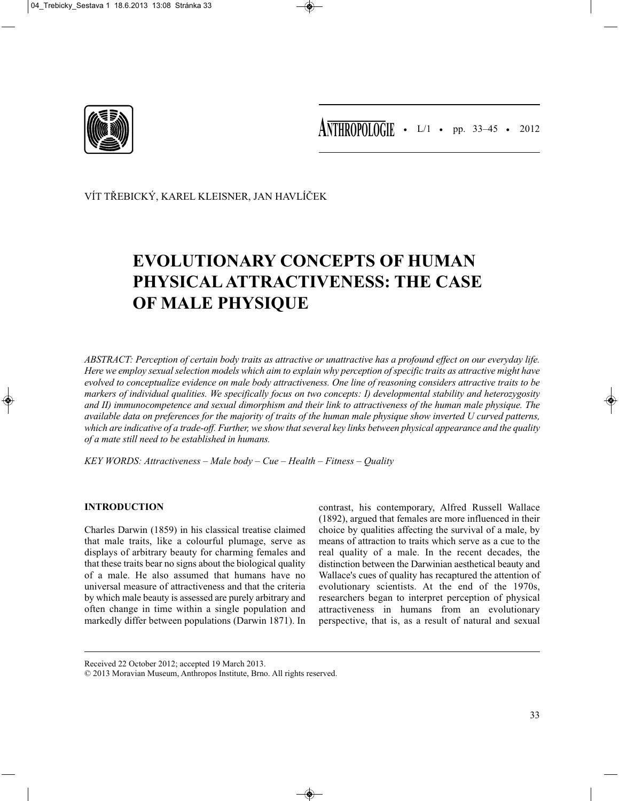

VÍT TŘEBICKÝ, KAREL KLEISNER, JAN HAVLÍČEK

# **EVOLUTIONARY CONCEPTS OF HUMAN PHYSICAL ATTRACTIVENESS: THE CASE OF MALE PHYSIQUE**

*ABSTRACT: Perception of certain body traits as attractive or unattractive has a profound effect on our everyday life. Here we employ sexual selection models which aim to explain why perception of specific traits as attractive might have evolved to conceptualize evidence on male body attractiveness. One line of reasoning considers attractive traits to be markers of individual qualities. We specifically focus on two concepts: I) developmental stability and heterozygosity and II) immunocompetence and sexual dimorphism and their link to attractiveness of the human male physique. The available data on preferences for the majority of traits of the human male physique show inverted U curved patterns, which are indicative of a trade-off. Further, we show that several key links between physical appearance and the quality of a mate still need to be established in humans.*

*KEY WORDS: Attractiveness – Male body – Cue – Health – Fitness – Quality*

# **INTRODUCTION**

Charles Darwin (1859) in his classical treatise claimed that male traits, like a colourful plumage, serve as displays of arbitrary beauty for charming females and that these traits bear no signs about the biological quality of a male. He also assumed that humans have no universal measure of attractiveness and that the criteria by which male beauty is assessed are purely arbitrary and often change in time within a single population and markedly differ between populations (Darwin 1871). In

contrast, his contemporary, Alfred Russell Wallace (1892), argued that females are more influenced in their choice by qualities affecting the survival of a male, by means of attraction to traits which serve as a cue to the real quality of a male. In the recent decades, the distinction between the Darwinian aesthetical beauty and Wallace's cues of quality has recaptured the attention of evolutionary scientists. At the end of the 1970s, researchers began to interpret perception of physical attractiveness in humans from an evolutionary perspective, that is, as a result of natural and sexual

Received 22 October 2012; accepted 19 March 2013.

<sup>© 2013</sup> Moravian Museum, Anthropos Institute, Brno. All rights reserved.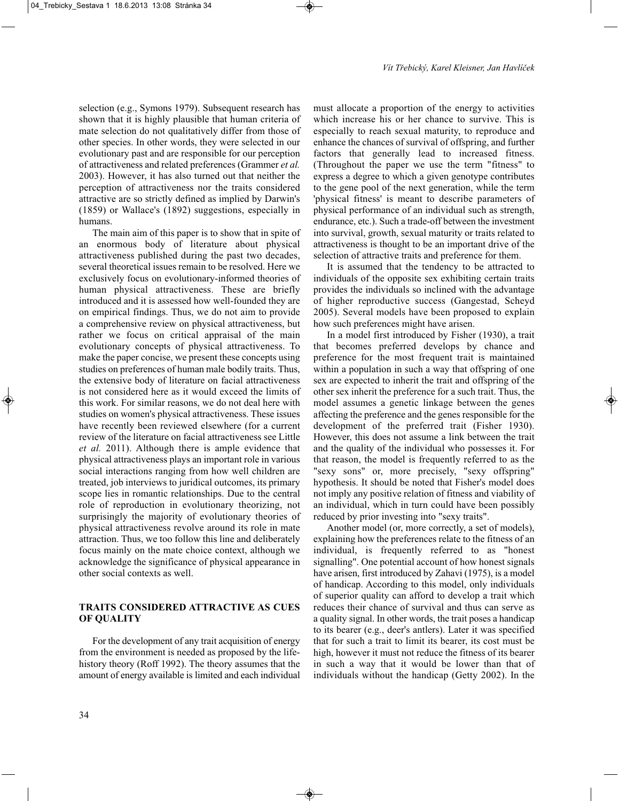selection (e.g., Symons 1979). Subsequent research has shown that it is highly plausible that human criteria of mate selection do not qualitatively differ from those of other species. In other words, they were selected in our evolutionary past and are responsible for our perception of attractiveness and related preferences (Grammer *et al.* 2003). However, it has also turned out that neither the perception of attractiveness nor the traits considered attractive are so strictly defined as implied by Darwin's (1859) or Wallace's (1892) suggestions, especially in humans.

The main aim of this paper is to show that in spite of an enormous body of literature about physical attractiveness published during the past two decades, several theoretical issues remain to be resolved. Here we exclusively focus on evolutionary-informed theories of human physical attractiveness. These are briefly introduced and it is assessed how well-founded they are on empirical findings. Thus, we do not aim to provide a comprehensive review on physical attractiveness, but rather we focus on critical appraisal of the main evolutionary concepts of physical attractiveness. To make the paper concise, we present these concepts using studies on preferences of human male bodily traits. Thus, the extensive body of literature on facial attractiveness is not considered here as it would exceed the limits of this work. For similar reasons, we do not deal here with studies on women's physical attractiveness. These issues have recently been reviewed elsewhere (for a current review of the literature on facial attractiveness see Little *et al.* 2011). Although there is ample evidence that physical attractiveness plays an important role in various social interactions ranging from how well children are treated, job interviews to juridical outcomes, its primary scope lies in romantic relationships. Due to the central role of reproduction in evolutionary theorizing, not surprisingly the majority of evolutionary theories of physical attractiveness revolve around its role in mate attraction. Thus, we too follow this line and deliberately focus mainly on the mate choice context, although we acknowledge the significance of physical appearance in other social contexts as well.

## **TRAITS CONSIDERED ATTRACTIVE AS CUES OF QUALITY**

For the development of any trait acquisition of energy from the environment is needed as proposed by the lifehistory theory (Roff 1992). The theory assumes that the amount of energy available is limited and each individual must allocate a proportion of the energy to activities which increase his or her chance to survive. This is especially to reach sexual maturity, to reproduce and enhance the chances of survival of offspring, and further factors that generally lead to increased fitness. (Throughout the paper we use the term "fitness" to express a degree to which a given genotype contributes to the gene pool of the next generation, while the term 'physical fitness' is meant to describe parameters of physical performance of an individual such as strength, endurance, etc.). Such a trade-off between the investment into survival, growth, sexual maturity or traits related to attractiveness is thought to be an important drive of the selection of attractive traits and preference for them.

It is assumed that the tendency to be attracted to individuals of the opposite sex exhibiting certain traits provides the individuals so inclined with the advantage of higher reproductive success (Gangestad, Scheyd 2005). Several models have been proposed to explain how such preferences might have arisen.

In a model first introduced by Fisher (1930), a trait that becomes preferred develops by chance and preference for the most frequent trait is maintained within a population in such a way that offspring of one sex are expected to inherit the trait and offspring of the other sex inherit the preference for a such trait. Thus, the model assumes a genetic linkage between the genes affecting the preference and the genes responsible for the development of the preferred trait (Fisher 1930). However, this does not assume a link between the trait and the quality of the individual who possesses it. For that reason, the model is frequently referred to as the "sexy sons" or, more precisely, "sexy offspring" hypothesis. It should be noted that Fisher's model does not imply any positive relation of fitness and viability of an individual, which in turn could have been possibly reduced by prior investing into "sexy traits".

Another model (or, more correctly, a set of models), explaining how the preferences relate to the fitness of an individual, is frequently referred to as "honest signalling". One potential account of how honest signals have arisen, first introduced by Zahavi (1975), is a model of handicap. According to this model, only individuals of superior quality can afford to develop a trait which reduces their chance of survival and thus can serve as a quality signal. In other words, the trait poses a handicap to its bearer (e.g., deer's antlers). Later it was specified that for such a trait to limit its bearer, its cost must be high, however it must not reduce the fitness of its bearer in such a way that it would be lower than that of individuals without the handicap (Getty 2002). In the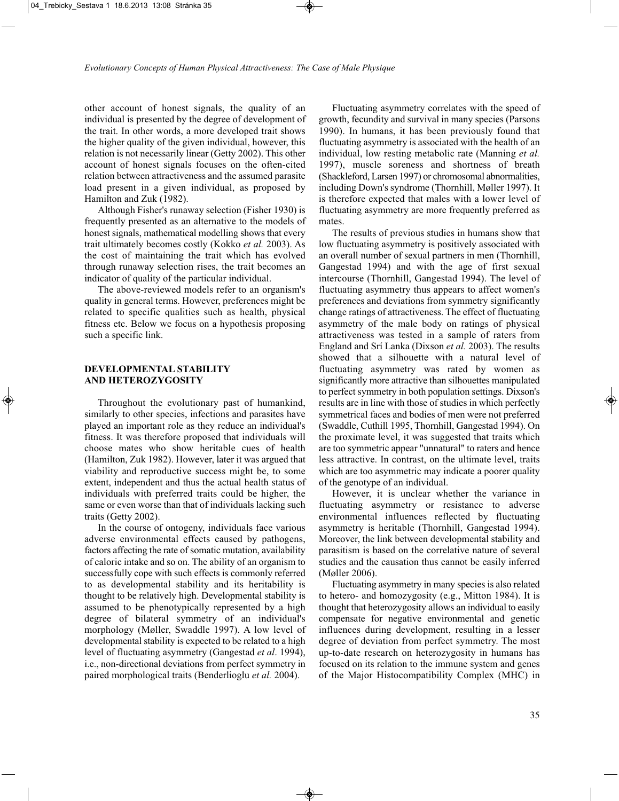other account of honest signals, the quality of an individual is presented by the degree of development of the trait. In other words, a more developed trait shows the higher quality of the given individual, however, this relation is not necessarily linear (Getty 2002). This other account of honest signals focuses on the often-cited relation between attractiveness and the assumed parasite load present in a given individual, as proposed by Hamilton and Zuk (1982).

Although Fisher's runaway selection (Fisher 1930) is frequently presented as an alternative to the models of honest signals, mathematical modelling shows that every trait ultimately becomes costly (Kokko *et al.* 2003). As the cost of maintaining the trait which has evolved through runaway selection rises, the trait becomes an indicator of quality of the particular individual.

The above-reviewed models refer to an organism's quality in general terms. However, preferences might be related to specific qualities such as health, physical fitness etc. Below we focus on a hypothesis proposing such a specific link.

## **DEVELOPMENTAL STABILITY AND HETEROZYGOSITY**

Throughout the evolutionary past of humankind, similarly to other species, infections and parasites have played an important role as they reduce an individual's fitness. It was therefore proposed that individuals will choose mates who show heritable cues of health (Hamilton, Zuk 1982). However, later it was argued that viability and reproductive success might be, to some extent, independent and thus the actual health status of individuals with preferred traits could be higher, the same or even worse than that of individuals lacking such traits (Getty 2002).

In the course of ontogeny, individuals face various adverse environmental effects caused by pathogens, factors affecting the rate of somatic mutation, availability of caloric intake and so on. The ability of an organism to successfully cope with such effects is commonly referred to as developmental stability and its heritability is thought to be relatively high. Developmental stability is assumed to be phenotypically represented by a high degree of bilateral symmetry of an individual's morphology (Møller, Swaddle 1997). A low level of developmental stability is expected to be related to a high level of fluctuating asymmetry (Gangestad *et al*. 1994), i.e., non-directional deviations from perfect symmetry in paired morphological traits (Benderlioglu *et al.* 2004).

Fluctuating asymmetry correlates with the speed of growth, fecundity and survival in many species (Parsons 1990). In humans, it has been previously found that fluctuating asymmetry is associated with the health of an individual, low resting metabolic rate (Manning *et al.* 1997), muscle soreness and shortness of breath (Shackleford, Larsen 1997) or chromosomal abnormalities, including Down's syndrome (Thornhill, Møller 1997). It is therefore expected that males with a lower level of fluctuating asymmetry are more frequently preferred as mates.

The results of previous studies in humans show that low fluctuating asymmetry is positively associated with an overall number of sexual partners in men (Thornhill, Gangestad 1994) and with the age of first sexual intercourse (Thornhill, Gangestad 1994). The level of fluctuating asymmetry thus appears to affect women's preferences and deviations from symmetry significantly change ratings of attractiveness. The effect of fluctuating asymmetry of the male body on ratings of physical attractiveness was tested in a sample of raters from England and Srí Lanka (Dixson *et al.* 2003). The results showed that a silhouette with a natural level of fluctuating asymmetry was rated by women as significantly more attractive than silhouettes manipulated to perfect symmetry in both population settings. Dixson's results are in line with those of studies in which perfectly symmetrical faces and bodies of men were not preferred (Swaddle, Cuthill 1995, Thornhill, Gangestad 1994). On the proximate level, it was suggested that traits which are too symmetric appear "unnatural" to raters and hence less attractive. In contrast, on the ultimate level, traits which are too asymmetric may indicate a poorer quality of the genotype of an individual.

However, it is unclear whether the variance in fluctuating asymmetry or resistance to adverse environmental influences reflected by fluctuating asymmetry is heritable (Thornhill, Gangestad 1994). Moreover, the link between developmental stability and parasitism is based on the correlative nature of several studies and the causation thus cannot be easily inferred (Møller 2006).

Fluctuating asymmetry in many species is also related to hetero- and homozygosity (e.g., Mitton 1984). It is thought that heterozygosity allows an individual to easily compensate for negative environmental and genetic influences during development, resulting in a lesser degree of deviation from perfect symmetry. The most up-to-date research on heterozygosity in humans has focused on its relation to the immune system and genes of the Major Histocompatibility Complex (MHC) in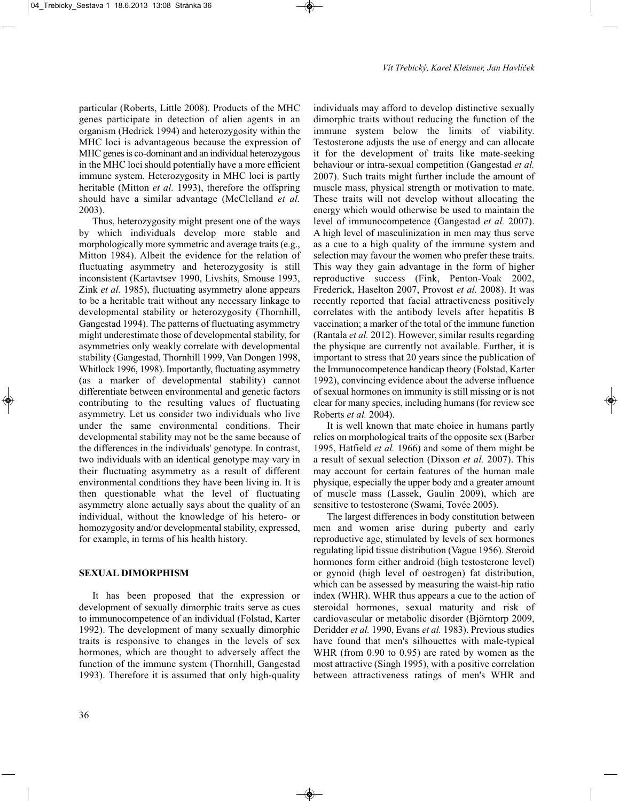particular (Roberts, Little 2008). Products of the MHC genes participate in detection of alien agents in an organism (Hedrick 1994) and heterozygosity within the MHC loci is advantageous because the expression of MHC genes is co-dominant and an individual heterozygous in the MHC loci should potentially have a more efficient immune system. Heterozygosity in MHC loci is partly heritable (Mitton *et al.* 1993), therefore the offspring should have a similar advantage (McClelland *et al.* 2003).

Thus, heterozygosity might present one of the ways by which individuals develop more stable and morphologically more symmetric and average traits (e.g., Mitton 1984). Albeit the evidence for the relation of fluctuating asymmetry and heterozygosity is still inconsistent (Kartavtsev 1990, Livshits, Smouse 1993, Zink *et al.* 1985), fluctuating asymmetry alone appears to be a heritable trait without any necessary linkage to developmental stability or heterozygosity (Thornhill, Gangestad 1994). The patterns of fluctuating asymmetry might underestimate those of developmental stability, for asymmetries only weakly correlate with developmental stability (Gangestad, Thornhill 1999, Van Dongen 1998, Whitlock 1996, 1998). Importantly, fluctuating asymmetry (as a marker of developmental stability) cannot differentiate between environmental and genetic factors contributing to the resulting values of fluctuating asymmetry. Let us consider two individuals who live under the same environmental conditions. Their developmental stability may not be the same because of the differences in the individuals' genotype. In contrast, two individuals with an identical genotype may vary in their fluctuating asymmetry as a result of different environmental conditions they have been living in. It is then questionable what the level of fluctuating asymmetry alone actually says about the quality of an individual, without the knowledge of his hetero- or homozygosity and/or developmental stability, expressed, for example, in terms of his health history.

# **SEXUAL DIMORPHISM**

It has been proposed that the expression or development of sexually dimorphic traits serve as cues to immunocompetence of an individual (Folstad, Karter 1992). The development of many sexually dimorphic traits is responsive to changes in the levels of sex hormones, which are thought to adversely affect the function of the immune system (Thornhill, Gangestad 1993). Therefore it is assumed that only high-quality individuals may afford to develop distinctive sexually dimorphic traits without reducing the function of the immune system below the limits of viability. Testosterone adjusts the use of energy and can allocate it for the development of traits like mate-seeking behaviour or intra-sexual competition (Gangestad *et al.* 2007). Such traits might further include the amount of muscle mass, physical strength or motivation to mate. These traits will not develop without allocating the energy which would otherwise be used to maintain the level of immunocompetence (Gangestad *et al.* 2007). A high level of masculinization in men may thus serve as a cue to a high quality of the immune system and selection may favour the women who prefer these traits. This way they gain advantage in the form of higher reproductive success (Fink, Penton-Voak 2002, Frederick, Haselton 2007, Provost *et al.* 2008). It was recently reported that facial attractiveness positively correlates with the antibody levels after hepatitis B vaccination; a marker of the total of the immune function (Rantala *et al.* 2012). However, similar results regarding the physique are currently not available. Further, it is important to stress that 20 years since the publication of the Immunocompetence handicap theory (Folstad, Karter 1992), convincing evidence about the adverse influence of sexual hormones on immunity is still missing or is not clear for many species, including humans (for review see Roberts *et al.* 2004).

It is well known that mate choice in humans partly relies on morphological traits of the opposite sex (Barber 1995, Hatfield *et al.* 1966) and some of them might be a result of sexual selection (Dixson *et al.* 2007). This may account for certain features of the human male physique, especially the upper body and a greater amount of muscle mass (Lassek, Gaulin 2009), which are sensitive to testosterone (Swami, Tovée 2005).

The largest differences in body constitution between men and women arise during puberty and early reproductive age, stimulated by levels of sex hormones regulating lipid tissue distribution (Vague 1956). Steroid hormones form either android (high testosterone level) or gynoid (high level of oestrogen) fat distribution, which can be assessed by measuring the waist-hip ratio index (WHR). WHR thus appears a cue to the action of steroidal hormones, sexual maturity and risk of cardiovascular or metabolic disorder (Björntorp 2009, Deridder *et al.* 1990, Evans *et al.* 1983). Previous studies have found that men's silhouettes with male-typical WHR (from 0.90 to 0.95) are rated by women as the most attractive (Singh 1995), with a positive correlation between attractiveness ratings of men's WHR and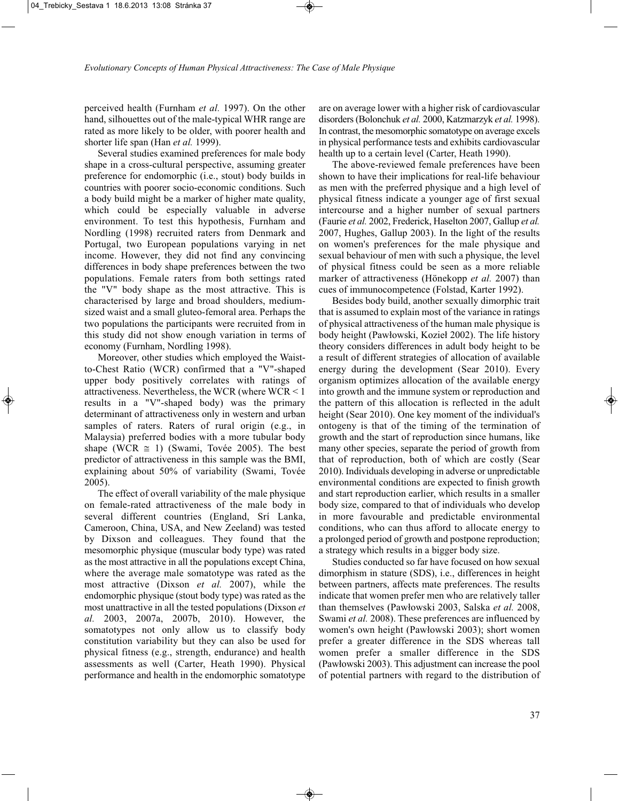perceived health (Furnham *et al.* 1997). On the other hand, silhouettes out of the male-typical WHR range are rated as more likely to be older, with poorer health and shorter life span (Han *et al.* 1999).

Several studies examined preferences for male body shape in a cross-cultural perspective, assuming greater preference for endomorphic (i.e., stout) body builds in countries with poorer socio-economic conditions. Such a body build might be a marker of higher mate quality, which could be especially valuable in adverse environment. To test this hypothesis, Furnham and Nordling (1998) recruited raters from Denmark and Portugal, two European populations varying in net income. However, they did not find any convincing differences in body shape preferences between the two populations. Female raters from both settings rated the "V" body shape as the most attractive. This is characterised by large and broad shoulders, mediumsized waist and a small gluteo-femoral area. Perhaps the two populations the participants were recruited from in this study did not show enough variation in terms of economy (Furnham, Nordling 1998).

Moreover, other studies which employed the Waistto-Chest Ratio (WCR) confirmed that a "V"-shaped upper body positively correlates with ratings of attractiveness. Nevertheless, the WCR (where WCR < 1 results in a "V"-shaped body) was the primary determinant of attractiveness only in western and urban samples of raters. Raters of rural origin (e.g., in Malaysia) preferred bodies with a more tubular body shape (WCR  $\approx$  1) (Swami, Tovée 2005). The best predictor of attractiveness in this sample was the BMI, explaining about 50% of variability (Swami, Tovée 2005).

The effect of overall variability of the male physique on female-rated attractiveness of the male body in several different countries (England, Srí Lanka, Cameroon, China, USA, and New Zeeland) was tested by Dixson and colleagues. They found that the mesomorphic physique (muscular body type) was rated as the most attractive in all the populations except China, where the average male somatotype was rated as the most attractive (Dixson *et al.* 2007), while the endomorphic physique (stout body type) was rated as the most unattractive in all the tested populations (Dixson *et al.* 2003, 2007a, 2007b, 2010). However, the somatotypes not only allow us to classify body constitution variability but they can also be used for physical fitness (e.g., strength, endurance) and health assessments as well (Carter, Heath 1990). Physical performance and health in the endomorphic somatotype are on average lower with a higher risk of cardiovascular disorders (Bolonchuk *et al.* 2000, Katzmarzyk *et al.* 1998). In contrast, the mesomorphic somatotype on average excels in physical performance tests and exhibits cardiovascular health up to a certain level (Carter, Heath 1990).

The above-reviewed female preferences have been shown to have their implications for real-life behaviour as men with the preferred physique and a high level of physical fitness indicate a younger age of first sexual intercourse and a higher number of sexual partners (Faurie *et al.* 2002, Frederick, Haselton 2007, Gallup *et al.* 2007, Hughes, Gallup 2003). In the light of the results on women's preferences for the male physique and sexual behaviour of men with such a physique, the level of physical fitness could be seen as a more reliable marker of attractiveness (Hönekopp *et al.* 2007) than cues of immunocompetence (Folstad, Karter 1992).

Besides body build, another sexually dimorphic trait that is assumed to explain most of the variance in ratings of physical attractiveness of the human male physique is body height (Pawłowski, Kozieł 2002). The life history theory considers differences in adult body height to be a result of different strategies of allocation of available energy during the development (Sear 2010). Every organism optimizes allocation of the available energy into growth and the immune system or reproduction and the pattern of this allocation is reflected in the adult height (Sear 2010). One key moment of the individual's ontogeny is that of the timing of the termination of growth and the start of reproduction since humans, like many other species, separate the period of growth from that of reproduction, both of which are costly (Sear 2010). Individuals developing in adverse or unpredictable environmental conditions are expected to finish growth and start reproduction earlier, which results in a smaller body size, compared to that of individuals who develop in more favourable and predictable environmental conditions, who can thus afford to allocate energy to a prolonged period of growth and postpone reproduction; a strategy which results in a bigger body size.

Studies conducted so far have focused on how sexual dimorphism in stature (SDS), i.e., differences in height between partners, affects mate preferences. The results indicate that women prefer men who are relatively taller than themselves (Pawłowski 2003, Salska *et al.* 2008, Swami *et al.* 2008). These preferences are influenced by women's own height (Pawłowski 2003); short women prefer a greater difference in the SDS whereas tall women prefer a smaller difference in the SDS (Pawłowski 2003). This adjustment can increase the pool of potential partners with regard to the distribution of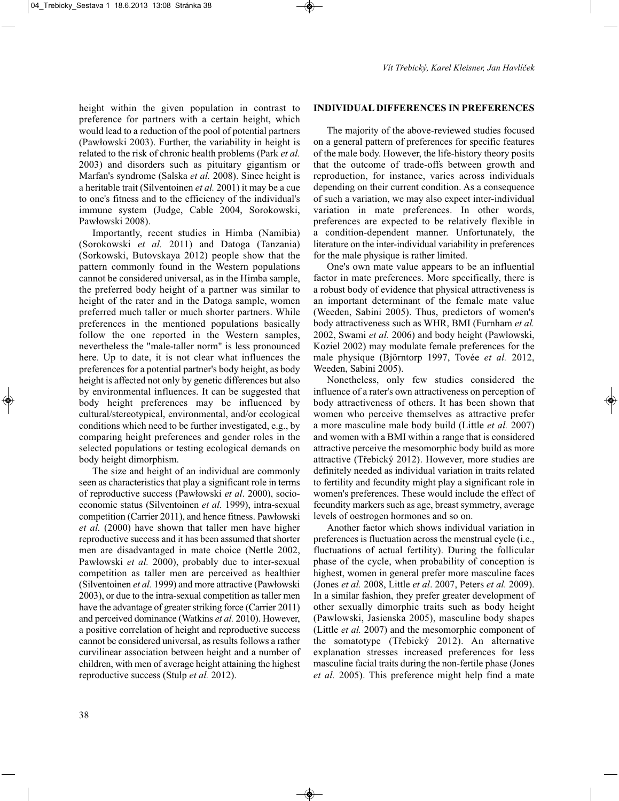height within the given population in contrast to preference for partners with a certain height, which would lead to a reduction of the pool of potential partners (Pawłowski 2003). Further, the variability in height is related to the risk of chronic health problems (Park *et al.* 2003) and disorders such as pituitary gigantism or Marfan's syndrome (Salska *et al.* 2008). Since height is a heritable trait (Silventoinen *et al.* 2001) it may be a cue to one's fitness and to the efficiency of the individual's immune system (Judge, Cable 2004, Sorokowski, Pawłowski 2008).

Importantly, recent studies in Himba (Namibia) (Sorokowski *et al.* 2011) and Datoga (Tanzania) (Sorkowski, Butovskaya 2012) people show that the pattern commonly found in the Western populations cannot be considered universal, as in the Himba sample, the preferred body height of a partner was similar to height of the rater and in the Datoga sample, women preferred much taller or much shorter partners. While preferences in the mentioned populations basically follow the one reported in the Western samples, nevertheless the "male-taller norm" is less pronounced here. Up to date, it is not clear what influences the preferences for a potential partner's body height, as body height is affected not only by genetic differences but also by environmental influences. It can be suggested that body height preferences may be influenced by cultural/stereotypical, environmental, and/or ecological conditions which need to be further investigated, e.g., by comparing height preferences and gender roles in the selected populations or testing ecological demands on body height dimorphism.

The size and height of an individual are commonly seen as characteristics that play a significant role in terms of reproductive success (Pawłowski *et al*. 2000), socioeconomic status (Silventoinen *et al.* 1999), intra-sexual competition (Carrier 2011), and hence fitness. Pawłowski *et al.* (2000) have shown that taller men have higher reproductive success and it has been assumed that shorter men are disadvantaged in mate choice (Nettle 2002, Pawłowski *et al.* 2000), probably due to inter-sexual competition as taller men are perceived as healthier (Silventoinen *et al.* 1999) and more attractive (Pawłowski 2003), or due to the intra-sexual competition as taller men have the advantage of greater striking force (Carrier 2011) and perceived dominance (Watkins *et al.* 2010). However, a positive correlation of height and reproductive success cannot be considered universal, as results follows a rather curvilinear association between height and a number of children, with men of average height attaining the highest reproductive success (Stulp *et al.* 2012).

### **INDIVIDUAL DIFFERENCES IN PREFERENCES**

The majority of the above-reviewed studies focused on a general pattern of preferences for specific features of the male body. However, the life-history theory posits that the outcome of trade-offs between growth and reproduction, for instance, varies across individuals depending on their current condition. As a consequence of such a variation, we may also expect inter-individual variation in mate preferences. In other words, preferences are expected to be relatively flexible in a condition-dependent manner. Unfortunately, the literature on the inter-individual variability in preferences for the male physique is rather limited.

One's own mate value appears to be an influential factor in mate preferences. More specifically, there is a robust body of evidence that physical attractiveness is an important determinant of the female mate value (Weeden, Sabini 2005). Thus, predictors of women's body attractiveness such as WHR, BMI (Furnham *et al.* 2002, Swami *et al.* 2006) and body height (Pawłowski, Koziel 2002) may modulate female preferences for the male physique (Björntorp 1997, Tovée *et al.* 2012, Weeden, Sabini 2005).

Nonetheless, only few studies considered the influence of a rater's own attractiveness on perception of body attractiveness of others. It has been shown that women who perceive themselves as attractive prefer a more masculine male body build (Little *et al.* 2007) and women with a BMI within a range that is considered attractive perceive the mesomorphic body build as more attractive (Třebický 2012). However, more studies are definitely needed as individual variation in traits related to fertility and fecundity might play a significant role in women's preferences. These would include the effect of fecundity markers such as age, breast symmetry, average levels of oestrogen hormones and so on.

Another factor which shows individual variation in preferences is fluctuation across the menstrual cycle (i.e., fluctuations of actual fertility). During the follicular phase of the cycle, when probability of conception is highest, women in general prefer more masculine faces (Jones *et al.* 2008, Little *et al*. 2007, Peters *et al.* 2009). In a similar fashion, they prefer greater development of other sexually dimorphic traits such as body height (Pawlowski, Jasienska 2005), masculine body shapes (Little *et al.* 2007) and the mesomorphic component of the somatotype (Třebický 2012). An alternative explanation stresses increased preferences for less masculine facial traits during the non-fertile phase (Jones *et al.* 2005). This preference might help find a mate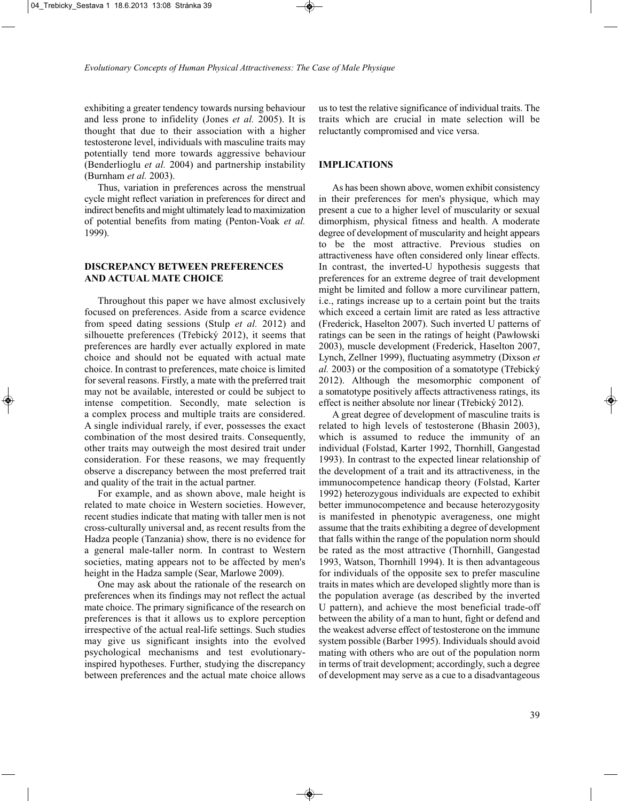exhibiting a greater tendency towards nursing behaviour and less prone to infidelity (Jones *et al.* 2005). It is thought that due to their association with a higher testosterone level, individuals with masculine traits may potentially tend more towards aggressive behaviour (Benderlioglu *et al.* 2004) and partnership instability (Burnham *et al.* 2003).

Thus, variation in preferences across the menstrual cycle might reflect variation in preferences for direct and indirect benefits and might ultimately lead to maximization of potential benefits from mating (Penton-Voak *et al.* 1999).

### **DISCREPANCY BETWEEN PREFERENCES AND ACTUAL MATE CHOICE**

Throughout this paper we have almost exclusively focused on preferences. Aside from a scarce evidence from speed dating sessions (Stulp *et al.* 2012) and silhouette preferences (Třebický 2012), it seems that preferences are hardly ever actually explored in mate choice and should not be equated with actual mate choice. In contrast to preferences, mate choice is limited for several reasons. Firstly, a mate with the preferred trait may not be available, interested or could be subject to intense competition. Secondly, mate selection is a complex process and multiple traits are considered. A single individual rarely, if ever, possesses the exact combination of the most desired traits. Consequently, other traits may outweigh the most desired trait under consideration. For these reasons, we may frequently observe a discrepancy between the most preferred trait and quality of the trait in the actual partner.

For example, and as shown above, male height is related to mate choice in Western societies. However, recent studies indicate that mating with taller men is not cross-culturally universal and, as recent results from the Hadza people (Tanzania) show, there is no evidence for a general male-taller norm. In contrast to Western societies, mating appears not to be affected by men's height in the Hadza sample (Sear, Marlowe 2009).

One may ask about the rationale of the research on preferences when its findings may not reflect the actual mate choice. The primary significance of the research on preferences is that it allows us to explore perception irrespective of the actual real-life settings. Such studies may give us significant insights into the evolved psychological mechanisms and test evolutionaryinspired hypotheses. Further, studying the discrepancy between preferences and the actual mate choice allows us to test the relative significance of individual traits. The traits which are crucial in mate selection will be reluctantly compromised and vice versa.

#### **IMPLICATIONS**

As has been shown above, women exhibit consistency in their preferences for men's physique, which may present a cue to a higher level of muscularity or sexual dimorphism, physical fitness and health. A moderate degree of development of muscularity and height appears to be the most attractive. Previous studies on attractiveness have often considered only linear effects. In contrast, the inverted-U hypothesis suggests that preferences for an extreme degree of trait development might be limited and follow a more curvilinear pattern, i.e., ratings increase up to a certain point but the traits which exceed a certain limit are rated as less attractive (Frederick, Haselton 2007). Such inverted U patterns of ratings can be seen in the ratings of height (Pawłowski 2003), muscle development (Frederick, Haselton 2007, Lynch, Zellner 1999), fluctuating asymmetry (Dixson *et al.* 2003) or the composition of a somatotype (Třebický 2012). Although the mesomorphic component of a somatotype positively affects attractiveness ratings, its effect is neither absolute nor linear (Třebický 2012).

A great degree of development of masculine traits is related to high levels of testosterone (Bhasin 2003), which is assumed to reduce the immunity of an individual (Folstad, Karter 1992, Thornhill, Gangestad 1993). In contrast to the expected linear relationship of the development of a trait and its attractiveness, in the immunocompetence handicap theory (Folstad, Karter 1992) heterozygous individuals are expected to exhibit better immunocompetence and because heterozygosity is manifested in phenotypic averageness, one might assume that the traits exhibiting a degree of development that falls within the range of the population norm should be rated as the most attractive (Thornhill, Gangestad 1993, Watson, Thornhill 1994). It is then advantageous for individuals of the opposite sex to prefer masculine traits in mates which are developed slightly more than is the population average (as described by the inverted U pattern), and achieve the most beneficial trade-off between the ability of a man to hunt, fight or defend and the weakest adverse effect of testosterone on the immune system possible (Barber 1995). Individuals should avoid mating with others who are out of the population norm in terms of trait development; accordingly, such a degree of development may serve as a cue to a disadvantageous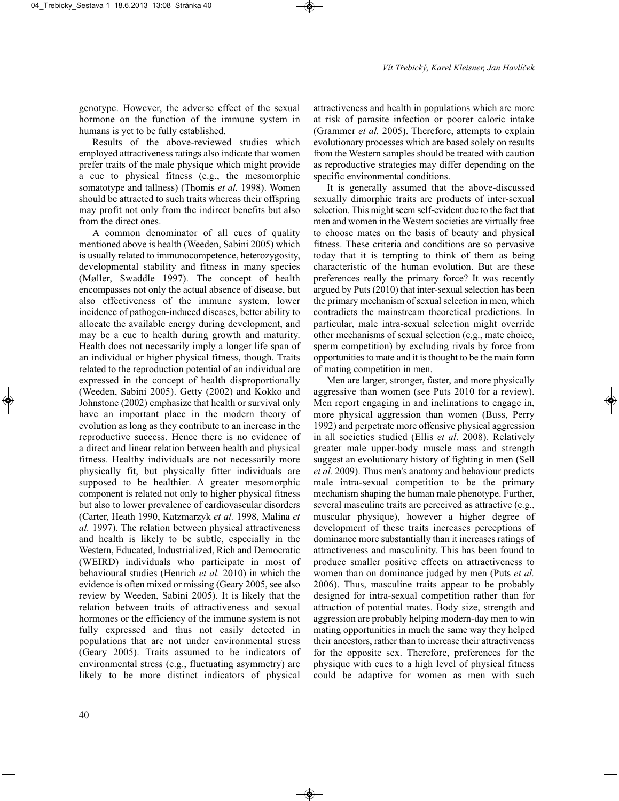genotype. However, the adverse effect of the sexual hormone on the function of the immune system in humans is yet to be fully established.

Results of the above-reviewed studies which employed attractiveness ratings also indicate that women prefer traits of the male physique which might provide a cue to physical fitness (e.g., the mesomorphic somatotype and tallness) (Thomis *et al.* 1998). Women should be attracted to such traits whereas their offspring may profit not only from the indirect benefits but also from the direct ones.

A common denominator of all cues of quality mentioned above is health (Weeden, Sabini 2005) which is usually related to immunocompetence, heterozygosity, developmental stability and fitness in many species (Møller, Swaddle 1997). The concept of health encompasses not only the actual absence of disease, but also effectiveness of the immune system, lower incidence of pathogen-induced diseases, better ability to allocate the available energy during development, and may be a cue to health during growth and maturity. Health does not necessarily imply a longer life span of an individual or higher physical fitness, though. Traits related to the reproduction potential of an individual are expressed in the concept of health disproportionally (Weeden, Sabini 2005). Getty (2002) and Kokko and Johnstone (2002) emphasize that health or survival only have an important place in the modern theory of evolution as long as they contribute to an increase in the reproductive success. Hence there is no evidence of a direct and linear relation between health and physical fitness. Healthy individuals are not necessarily more physically fit, but physically fitter individuals are supposed to be healthier. A greater mesomorphic component is related not only to higher physical fitness but also to lower prevalence of cardiovascular disorders (Carter, Heath 1990, Katzmarzyk *et al.* 1998, Malina *et al.* 1997). The relation between physical attractiveness and health is likely to be subtle, especially in the Western, Educated, Industrialized, Rich and Democratic (WEIRD) individuals who participate in most of behavioural studies (Henrich *et al.* 2010) in which the evidence is often mixed or missing (Geary 2005, see also review by Weeden, Sabini 2005). It is likely that the relation between traits of attractiveness and sexual hormones or the efficiency of the immune system is not fully expressed and thus not easily detected in populations that are not under environmental stress (Geary 2005). Traits assumed to be indicators of environmental stress (e.g., fluctuating asymmetry) are likely to be more distinct indicators of physical

attractiveness and health in populations which are more at risk of parasite infection or poorer caloric intake (Grammer *et al.* 2005). Therefore, attempts to explain evolutionary processes which are based solely on results from the Western samples should be treated with caution as reproductive strategies may differ depending on the specific environmental conditions.

It is generally assumed that the above-discussed sexually dimorphic traits are products of inter-sexual selection. This might seem self-evident due to the fact that men and women in the Western societies are virtually free to choose mates on the basis of beauty and physical fitness. These criteria and conditions are so pervasive today that it is tempting to think of them as being characteristic of the human evolution. But are these preferences really the primary force? It was recently argued by Puts (2010) that inter-sexual selection has been the primary mechanism of sexual selection in men, which contradicts the mainstream theoretical predictions. In particular, male intra-sexual selection might override other mechanisms of sexual selection (e.g., mate choice, sperm competition) by excluding rivals by force from opportunities to mate and it is thought to be the main form of mating competition in men.

Men are larger, stronger, faster, and more physically aggressive than women (see Puts 2010 for a review). Men report engaging in and inclinations to engage in, more physical aggression than women (Buss, Perry 1992) and perpetrate more offensive physical aggression in all societies studied (Ellis *et al.* 2008). Relatively greater male upper-body muscle mass and strength suggest an evolutionary history of fighting in men (Sell *et al.* 2009). Thus men's anatomy and behaviour predicts male intra-sexual competition to be the primary mechanism shaping the human male phenotype. Further, several masculine traits are perceived as attractive (e.g., muscular physique), however a higher degree of development of these traits increases perceptions of dominance more substantially than it increases ratings of attractiveness and masculinity. This has been found to produce smaller positive effects on attractiveness to women than on dominance judged by men (Puts *et al.* 2006). Thus, masculine traits appear to be probably designed for intra-sexual competition rather than for attraction of potential mates. Body size, strength and aggression are probably helping modern-day men to win mating opportunities in much the same way they helped their ancestors, rather than to increase their attractiveness for the opposite sex. Therefore, preferences for the physique with cues to a high level of physical fitness could be adaptive for women as men with such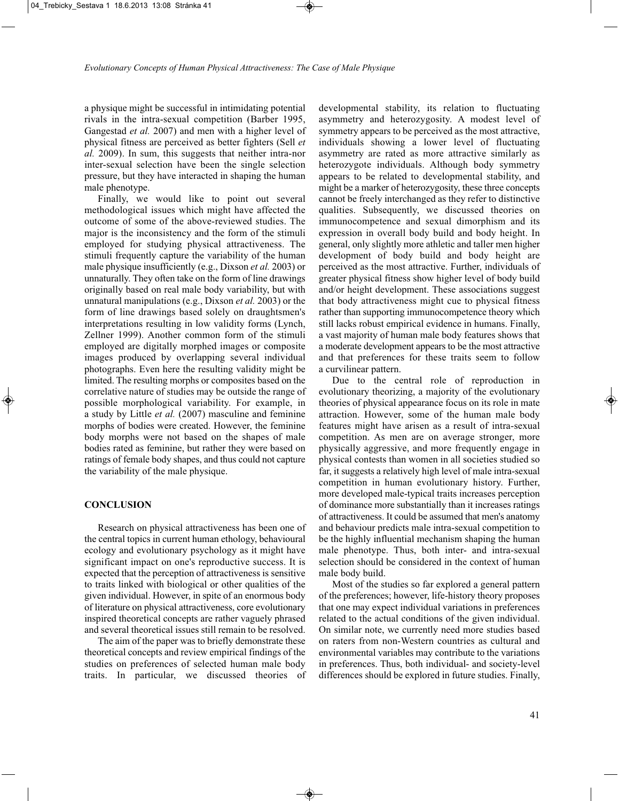a physique might be successful in intimidating potential rivals in the intra-sexual competition (Barber 1995, Gangestad *et al.* 2007) and men with a higher level of physical fitness are perceived as better fighters (Sell *et al.* 2009). In sum, this suggests that neither intra-nor inter-sexual selection have been the single selection pressure, but they have interacted in shaping the human male phenotype.

Finally, we would like to point out several methodological issues which might have affected the outcome of some of the above-reviewed studies. The major is the inconsistency and the form of the stimuli employed for studying physical attractiveness. The stimuli frequently capture the variability of the human male physique insufficiently (e.g., Dixson *et al.* 2003) or unnaturally. They often take on the form of line drawings originally based on real male body variability, but with unnatural manipulations (e.g., Dixson *et al.* 2003) or the form of line drawings based solely on draughtsmen's interpretations resulting in low validity forms (Lynch, Zellner 1999). Another common form of the stimuli employed are digitally morphed images or composite images produced by overlapping several individual photographs. Even here the resulting validity might be limited. The resulting morphs or composites based on the correlative nature of studies may be outside the range of possible morphological variability. For example, in a study by Little *et al.* (2007) masculine and feminine morphs of bodies were created. However, the feminine body morphs were not based on the shapes of male bodies rated as feminine, but rather they were based on ratings of female body shapes, and thus could not capture the variability of the male physique.

#### **CONCLUSION**

Research on physical attractiveness has been one of the central topics in current human ethology, behavioural ecology and evolutionary psychology as it might have significant impact on one's reproductive success. It is expected that the perception of attractiveness is sensitive to traits linked with biological or other qualities of the given individual. However, in spite of an enormous body of literature on physical attractiveness, core evolutionary inspired theoretical concepts are rather vaguely phrased and several theoretical issues still remain to be resolved.

The aim of the paper was to briefly demonstrate these theoretical concepts and review empirical findings of the studies on preferences of selected human male body traits. In particular, we discussed theories of

developmental stability, its relation to fluctuating asymmetry and heterozygosity. A modest level of symmetry appears to be perceived as the most attractive, individuals showing a lower level of fluctuating asymmetry are rated as more attractive similarly as heterozygote individuals. Although body symmetry appears to be related to developmental stability, and might be a marker of heterozygosity, these three concepts cannot be freely interchanged as they refer to distinctive qualities. Subsequently, we discussed theories on immunocompetence and sexual dimorphism and its expression in overall body build and body height. In general, only slightly more athletic and taller men higher development of body build and body height are perceived as the most attractive. Further, individuals of greater physical fitness show higher level of body build and/or height development. These associations suggest that body attractiveness might cue to physical fitness rather than supporting immunocompetence theory which still lacks robust empirical evidence in humans. Finally, a vast majority of human male body features shows that a moderate development appears to be the most attractive and that preferences for these traits seem to follow a curvilinear pattern.

Due to the central role of reproduction in evolutionary theorizing, a majority of the evolutionary theories of physical appearance focus on its role in mate attraction. However, some of the human male body features might have arisen as a result of intra-sexual competition. As men are on average stronger, more physically aggressive, and more frequently engage in physical contests than women in all societies studied so far, it suggests a relatively high level of male intra-sexual competition in human evolutionary history. Further, more developed male-typical traits increases perception of dominance more substantially than it increases ratings of attractiveness. It could be assumed that men's anatomy and behaviour predicts male intra-sexual competition to be the highly influential mechanism shaping the human male phenotype. Thus, both inter- and intra-sexual selection should be considered in the context of human male body build.

Most of the studies so far explored a general pattern of the preferences; however, life-history theory proposes that one may expect individual variations in preferences related to the actual conditions of the given individual. On similar note, we currently need more studies based on raters from non-Western countries as cultural and environmental variables may contribute to the variations in preferences. Thus, both individual- and society-level differences should be explored in future studies. Finally,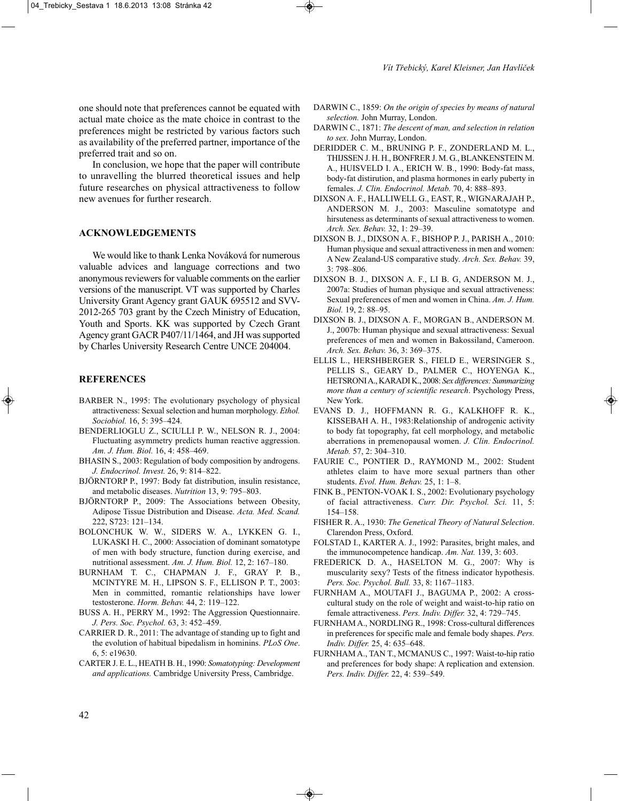In conclusion, we hope that the paper will contribute to unravelling the blurred theoretical issues and help future researches on physical attractiveness to follow new avenues for further research.

#### **ACKNOWLEDGEMENTS**

We would like to thank Lenka Nováková for numerous valuable advices and language corrections and two anonymous reviewers for valuable comments on the earlier versions of the manuscript. VT was supported by Charles University Grant Agency grant GAUK 695512 and SVV-2012-265 703 grant by the Czech Ministry of Education, Youth and Sports. KK was supported by Czech Grant Agency grant GACR P407/11/1464, and JH was supported by Charles University Research Centre UNCE 204004.

#### **REFERENCES**

- BARBER N., 1995: The evolutionary psychology of physical attractiveness: Sexual selection and human morphology. *Ethol. Sociobiol.* 16, 5: 395–424.
- BENDERLIOGLU Z., SCIULLI P. W., NELSON R. J., 2004: Fluctuating asymmetry predicts human reactive aggression. *Am. J. Hum. Biol.* 16, 4: 458–469.
- BHASIN S., 2003: Regulation of body composition by androgens. *J. Endocrinol. Invest.* 26, 9: 814–822.
- BJÖRNTORP P., 1997: Body fat distribution, insulin resistance, and metabolic diseases. *Nutrition* 13, 9: 795–803.
- BJÖRNTORP P., 2009: The Associations between Obesity, Adipose Tissue Distribution and Disease. *Acta. Med. Scand.* 222, S723: 121–134.
- BOLONCHUK W. W., SIDERS W. A., LYKKEN G. I., LUKASKI H. C., 2000: Association of dominant somatotype of men with body structure, function during exercise, and nutritional assessment. *Am. J. Hum. Biol.* 12, 2: 167–180.
- BURNHAM T. C., CHAPMAN J. F., GRAY P. B., MCINTYRE M. H., LIPSON S. F., ELLISON P. T., 2003: Men in committed, romantic relationships have lower testosterone. *Horm. Behav.* 44, 2: 119–122.
- BUSS A. H., PERRY M., 1992: The Aggression Questionnaire. *J. Pers. Soc. Psychol.* 63, 3: 452–459.
- CARRIER D. R., 2011: The advantage of standing up to fight and the evolution of habitual bipedalism in hominins. *PLoS One*. 6, 5: e19630.
- CARTER J. E. L., HEATH B. H., 1990: *Somatotyping: Development and applications.* Cambridge University Press, Cambridge.
- DARWIN C., 1859: *On the origin of species by means of natural selection.* John Murray, London.
- DARWIN C., 1871: *The descent of man, and selection in relation to sex*. John Murray, London.
- DERIDDER C. M., BRUNING P. F., ZONDERLAND M. L., THIJSSEN J. H. H., BONFRER J. M. G., BLANKENSTEIN M. A., HUISVELD I. A., ERICH W. B., 1990: Body-fat mass, body-fat distirution, and plasma hormones in early puberty in females. *J. Clin. Endocrinol. Metab.* 70, 4: 888–893.
- DIXSON A. F., HALLIWELL G., EAST, R., WIGNARAJAH P., ANDERSON M. J., 2003: Masculine somatotype and hirsuteness as determinants of sexual attractiveness to women. *Arch. Sex. Behav.* 32, 1: 29–39.
- DIXSON B. J., DIXSON A. F., BISHOP P. J., PARISH A., 2010: Human physique and sexual attractiveness in men and women: A New Zealand-US comparative study. *Arch. Sex. Behav.* 39, 3: 798–806.
- DIXSON B. J., DIXSON A. F., LI B. G, ANDERSON M. J., 2007a: Studies of human physique and sexual attractiveness: Sexual preferences of men and women in China. *Am. J. Hum. Biol.* 19, 2: 88–95.
- DIXSON B. J., DIXSON A. F., MORGAN B., ANDERSON M. J., 2007b: Human physique and sexual attractiveness: Sexual preferences of men and women in Bakossiland, Cameroon. *Arch. Sex. Behav.* 36, 3: 369–375.
- ELLIS L., HERSHBERGER S., FIELD E., WERSINGER S., PELLIS S., GEARY D., PALMER C., HOYENGA K., HETSRONI A., KARADI K., 2008: *Sex differences: Summarizing more than a century of scientific research*. Psychology Press, New York.
- EVANS D. J., HOFFMANN R. G., KALKHOFF R. K., KISSEBAH A. H., 1983:Relationship of androgenic activity to body fat topography, fat cell morphology, and metabolic aberrations in premenopausal women. *J. Clin. Endocrinol. Metab.* 57, 2: 304–310.
- FAURIE C., PONTIER D., RAYMOND M., 2002: Student athletes claim to have more sexual partners than other students. *Evol. Hum. Behav.* 25, 1: 1–8.
- FINK B., PENTON-VOAK I. S., 2002: Evolutionary psychology of facial attractiveness. *Curr. Dir. Psychol. Sci.* 11, 5: 154–158.
- FISHER R. A., 1930: *The Genetical Theory of Natural Selection*. Clarendon Press, Oxford.
- FOLSTAD I., KARTER A. J., 1992: Parasites, bright males, and the immunocompetence handicap. *Am. Nat.* 139, 3: 603.
- FREDERICK D. A., HASELTON M. G., 2007: Why is muscularity sexy? Tests of the fitness indicator hypothesis. *Pers. Soc. Psychol. Bull.* 33, 8: 1167–1183.
- FURNHAM A., MOUTAFI J., BAGUMA P., 2002: A crosscultural study on the role of weight and waist-to-hip ratio on female attractiveness. *Pers. Indiv. Differ.* 32, 4: 729–745.
- FURNHAM A., NORDLING R., 1998: Cross-cultural differences in preferences for specific male and female body shapes. *Pers. Indiv. Differ.* 25, 4: 635–648.
- FURNHAM A., TAN T., MCMANUS C., 1997: Waist-to-hip ratio and preferences for body shape: A replication and extension. *Pers. Indiv. Differ.* 22, 4: 539–549.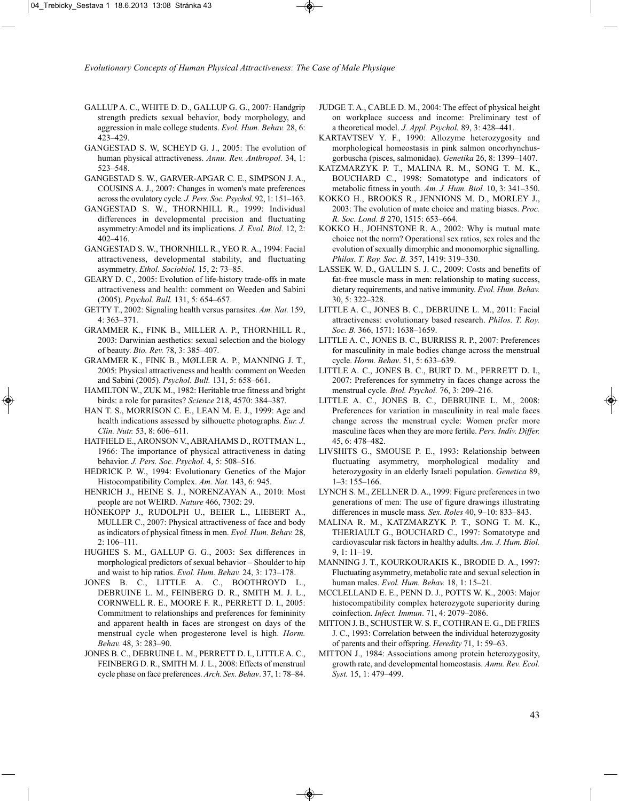- GALLUP A. C., WHITE D. D., GALLUP G. G., 2007: Handgrip strength predicts sexual behavior, body morphology, and aggression in male college students. *Evol. Hum. Behav.* 28, 6: 423–429.
- GANGESTAD S. W, SCHEYD G. J., 2005: The evolution of human physical attractiveness. *Annu. Rev. Anthropol.* 34, 1: 523–548.
- GANGESTAD S. W., GARVER-APGAR C. E., SIMPSON J. A., COUSINS A. J., 2007: Changes in women's mate preferences across the ovulatory cycle*. J. Pers. Soc. Psychol.* 92, 1: 151–163.
- GANGESTAD S. W., THORNHILL R., 1999: Individual differences in developmental precision and fluctuating asymmetry:Amodel and its implications. *J. Evol. Biol.* 12, 2: 402–416.
- GANGESTAD S. W., THORNHILL R., YEO R. A., 1994: Facial attractiveness, developmental stability, and fluctuating asymmetry. *Ethol. Sociobiol.* 15, 2: 73–85.
- GEARY D. C., 2005: Evolution of life-history trade-offs in mate attractiveness and health: comment on Weeden and Sabini (2005). *Psychol. Bull.* 131, 5: 654–657.
- GETTY T., 2002: Signaling health versus parasites. *Am. Nat.* 159, 4: 363–371.
- GRAMMER K., FINK B., MILLER A. P., THORNHILL R., 2003: Darwinian aesthetics: sexual selection and the biology of beauty. *Bio. Rev.* 78, 3: 385–407.
- GRAMMER K., FINK B., MØLLER A. P., MANNING J. T., 2005: Physical attractiveness and health: comment on Weeden and Sabini (2005). *Psychol. Bull.* 131, 5: 658–661.
- HAMILTON W., ZUK M., 1982: Heritable true fitness and bright birds: a role for parasites? *Science* 218, 4570: 384–387.
- HAN T. S., MORRISON C. E., LEAN M. E. J., 1999: Age and health indications assessed by silhouette photographs. *Eur. J. Clin. Nutr.* 53, 8: 606–611.
- HATFIELD E., ARONSON V., ABRAHAMS D., ROTTMAN L., 1966: The importance of physical attractiveness in dating behavior. *J. Pers. Soc. Psychol.* 4, 5: 508–516.
- HEDRICK P. W., 1994: Evolutionary Genetics of the Major Histocompatibility Complex. *Am. Nat.* 143, 6: 945.
- HENRICH J., HEINE S. J., NORENZAYAN A., 2010: Most people are not WEIRD. *Nature* 466, 7302: 29.
- HÖNEKOPP J., RUDOLPH U., BEIER L., LIEBERT A., MULLER C., 2007: Physical attractiveness of face and body as indicators of physical fitness in men. *Evol. Hum. Behav.* 28, 2: 106–111.
- HUGHES S. M., GALLUP G. G., 2003: Sex differences in morphological predictors of sexual behavior – Shoulder to hip and waist to hip ratios. *Evol. Hum. Behav.* 24, 3: 173–178.
- JONES B. C., LITTLE A. C., BOOTHROYD L., DEBRUINE L. M., FEINBERG D. R., SMITH M. J. L., CORNWELL R. E., MOORE F. R., PERRETT D. I., 2005: Commitment to relationships and preferences for femininity and apparent health in faces are strongest on days of the menstrual cycle when progesterone level is high. *Horm. Behav.* 48, 3: 283–90.
- JONES B. C., DEBRUINE L. M., PERRETT D. I., LITTLE A. C., FEINBERG D. R., SMITH M. J. L., 2008: Effects of menstrual cycle phase on face preferences. *Arch. Sex. Behav*. 37, 1: 78–84.
- JUDGE T. A., CABLE D. M., 2004: The effect of physical height on workplace success and income: Preliminary test of a theoretical model. *J. Appl. Psychol.* 89, 3: 428–441.
- KARTAVTSEV Y. F., 1990: Allozyme heterozygosity and morphological homeostasis in pink salmon oncorhynchusgorbuscha (pisces, salmonidae). *Genetika* 26, 8: 1399–1407.
- KATZMARZYK P. T., MALINA R. M., SONG T. M. K., BOUCHARD C., 1998: Somatotype and indicators of metabolic fitness in youth. *Am. J. Hum. Biol.* 10, 3: 341–350.
- KOKKO H., BROOKS R., JENNIONS M. D., MORLEY J., 2003: The evolution of mate choice and mating biases. *Proc. R. Soc. Lond. B* 270, 1515: 653–664.
- KOKKO H., JOHNSTONE R. A., 2002: Why is mutual mate choice not the norm? Operational sex ratios, sex roles and the evolution of sexually dimorphic and monomorphic signalling. *Philos. T. Roy. Soc. B.* 357, 1419: 319–330.
- LASSEK W. D., GAULIN S. J. C., 2009: Costs and benefits of fat-free muscle mass in men: relationship to mating success, dietary requirements, and native immunity. *Evol. Hum. Behav.* 30, 5: 322–328.
- LITTLE A. C., JONES B. C., DEBRUINE L. M., 2011: Facial attractiveness: evolutionary based research. *Philos. T. Roy. Soc. B.* 366, 1571: 1638–1659.
- LITTLE A. C., JONES B. C., BURRISS R. P., 2007: Preferences for masculinity in male bodies change across the menstrual cycle. *Horm. Behav*. 51, 5: 633–639.
- LITTLE A. C., JONES B. C., BURT D. M., PERRETT D. I., 2007: Preferences for symmetry in faces change across the menstrual cycle. *Biol. Psychol.* 76, 3: 209–216.
- LITTLE A. C., JONES B. C., DEBRUINE L. M., 2008: Preferences for variation in masculinity in real male faces change across the menstrual cycle: Women prefer more masculine faces when they are more fertile. *Pers. Indiv. Differ.* 45, 6: 478–482.
- LIVSHITS G., SMOUSE P. E., 1993: Relationship between fluctuating asymmetry, morphological modality and heterozygosity in an elderly Israeli population. *Genetica* 89, 1–3: 155–166.
- LYNCH S. M., ZELLNER D. A., 1999: Figure preferences in two generations of men: The use of figure drawings illustrating differences in muscle mass*. Sex. Roles* 40, 9–10: 833–843.
- MALINA R. M., KATZMARZYK P. T., SONG T. M. K., THERIAULT G., BOUCHARD C., 1997: Somatotype and cardiovascular risk factors in healthy adults. *Am. J. Hum. Biol.* 9, 1: 11–19.
- MANNING J. T., KOURKOURAKIS K., BRODIE D. A., 1997: Fluctuating asymmetry, metabolic rate and sexual selection in human males. *Evol. Hum. Behav.* 18, 1: 15–21.
- MCCLELLAND E. E., PENN D. J., POTTS W. K., 2003: Major histocompatibility complex heterozygote superiority during coinfection. *Infect. Immun*. 71, 4: 2079–2086.
- MITTON J. B., SCHUSTER W. S. F., COTHRAN E. G., DE FRIES J. C., 1993: Correlation between the individual heterozygosity of parents and their offspring. *Heredity* 71, 1: 59–63.
- MITTON J., 1984: Associations among protein heterozygosity, growth rate, and developmental homeostasis. *Annu. Rev. Ecol. Syst.* 15, 1: 479–499.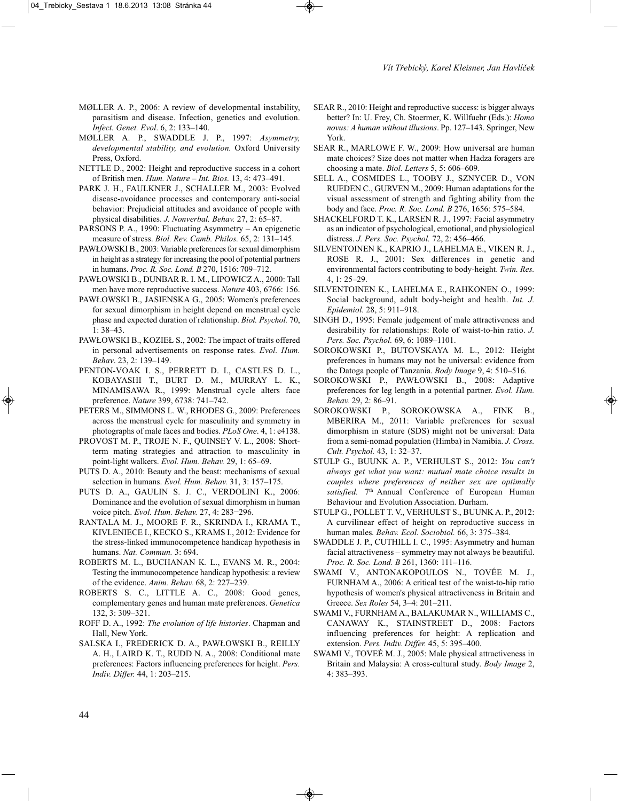- MØLLER A. P., 2006: A review of developmental instability, parasitism and disease. Infection, genetics and evolution. *Infect. Genet. Evol*. 6, 2: 133–140.
- MØLLER A. P., SWADDLE J. P., 1997: *Asymmetry, developmental stability, and evolution.* Oxford University Press, Oxford.
- NETTLE D., 2002: Height and reproductive success in a cohort of British men. *Hum. Nature – Int. Bios.* 13, 4: 473–491.
- PARK J. H., FAULKNER J., SCHALLER M., 2003: Evolved disease-avoidance processes and contemporary anti-social behavior: Prejudicial attitudes and avoidance of people with physical disabilities. *J. Nonverbal. Behav.* 27, 2: 65–87.
- PARSONS P. A., 1990: Fluctuating Asymmetry An epigenetic measure of stress. *Biol. Rev. Camb. Philos.* 65, 2: 131–145.
- PAWŁOWSKI B., 2003: Variable preferences for sexual dimorphism in height as a strategy for increasing the pool of potential partners in humans. *Proc. R. Soc. Lond. B* 270, 1516: 709–712.
- PAWŁOWSKI B., DUNBAR R. I. M., LIPOWICZ A., 2000: Tall men have more reproductive success. *Nature* 403, 6766: 156.
- PAWŁOWSKI B., JASIENSKA G., 2005: Women's preferences for sexual dimorphism in height depend on menstrual cycle phase and expected duration of relationship. *Biol. Psychol.* 70, 1: 38–43.
- PAWŁOWSKI B., KOZIEŁ S., 2002: The impact of traits offered in personal advertisements on response rates. *Evol. Hum. Behav*. 23, 2: 139–149.
- PENTON-VOAK I. S., PERRETT D. I., CASTLES D. L., KOBAYASHI T., BURT D. M., MURRAY L. K., MINAMISAWA R., 1999: Menstrual cycle alters face preference. *Nature* 399, 6738: 741–742.
- PETERS M., SIMMONS L. W., RHODES G., 2009: Preferences across the menstrual cycle for masculinity and symmetry in photographs of male faces and bodies. *PLoS One*. 4, 1: e4138.
- PROVOST M. P., TROJE N. F., QUINSEY V. L., 2008: Shortterm mating strategies and attraction to masculinity in point-light walkers. *Evol. Hum. Behav.* 29, 1: 65–69.
- PUTS D. A., 2010: Beauty and the beast: mechanisms of sexual selection in humans. *Evol. Hum. Behav.* 31, 3: 157–175.
- PUTS D. A., GAULIN S. J. C., VERDOLINI K., 2006: Dominance and the evolution of sexual dimorphism in human voice pitch. *Evol. Hum. Behav.* 27, 4: 283−296.
- RANTALA M. J., MOORE F. R., SKRINDA I., KRAMA T., KIVLENIECE I., KECKO S., KRAMS I., 2012: Evidence for the stress-linked immunocompetence handicap hypothesis in humans. *Nat. Commun.* 3: 694.
- ROBERTS M. L., BUCHANAN K. L., EVANS M. R., 2004: Testing the immunocompetence handicap hypothesis: a review of the evidence. *Anim. Behav.* 68, 2: 227–239.
- ROBERTS S. C., LITTLE A. C., 2008: Good genes, complementary genes and human mate preferences. *Genetica* 132, 3: 309–321.
- ROFF D. A., 1992: *The evolution of life histories*. Chapman and Hall, New York.
- SALSKA I., FREDERICK D. A., PAWŁOWSKI B., REILLY A. H., LAIRD K. T., RUDD N. A., 2008: Conditional mate preferences: Factors influencing preferences for height. *Pers. Indiv. Differ.* 44, 1: 203–215.
- SEAR R., 2010: Height and reproductive success: is bigger always better? In: U. Frey, Ch. Stoermer, K. Willfuehr (Eds.): *Homo novus: A human without illusions*. Pp. 127–143. Springer, New York.
- SEAR R., MARLOWE F. W., 2009: How universal are human mate choices? Size does not matter when Hadza foragers are choosing a mate. *Biol. Letters* 5, 5: 606–609.
- SELL A., COSMIDES L., TOOBY J., SZNYCER D., VON RUEDEN C., GURVEN M., 2009: Human adaptations for the visual assessment of strength and fighting ability from the body and face. *Proc. R. Soc. Lond. B* 276, 1656: 575–584.
- SHACKELFORD T. K., LARSEN R. J., 1997: Facial asymmetry as an indicator of psychological, emotional, and physiological distress. *J. Pers. Soc. Psychol.* 72, 2: 456–466.
- SILVENTOINEN K., KAPRIO J., LAHELMA E., VIKEN R. J., ROSE R. J., 2001: Sex differences in genetic and environmental factors contributing to body-height. *Twin. Res.* 4, 1: 25–29.
- SILVENTOINEN K., LAHELMA E., RAHKONEN O., 1999: Social background, adult body-height and health. *Int. J. Epidemiol.* 28, 5: 911–918.
- SINGH D., 1995: Female judgement of male attractiveness and desirability for relationships: Role of waist-to-hin ratio. *J. Pers. Soc. Psychol.* 69, 6: 1089–1101.
- SOROKOWSKI P., BUTOVSKAYA M. L., 2012: Height preferences in humans may not be universal: evidence from the Datoga people of Tanzania. *Body Image* 9, 4: 510–516.
- SOROKOWSKI P., PAWŁOWSKI B., 2008: Adaptive preferences for leg length in a potential partner. *Evol. Hum. Behav.* 29, 2: 86–91.
- SOROKOWSKI P., SOROKOWSKA A., FINK B., MBERIRA M., 2011: Variable preferences for sexual dimorphism in stature (SDS) might not be universal: Data from a semi-nomad population (Himba) in Namibia. *J. Cross. Cult. Psychol.* 43, 1: 32–37.
- STULP G., BUUNK A. P., VERHULST S., 2012: *You can't always get what you want: mutual mate choice results in couples where preferences of neither sex are optimally* satisfied. 7<sup>th</sup> Annual Conference of European Human Behaviour and Evolution Association. Durham.
- STULP G., POLLET T. V., VERHULST S., BUUNK A. P., 2012: A curvilinear effect of height on reproductive success in human males*. Behav. Ecol. Sociobiol.* 66, 3: 375–384.
- SWADDLE J. P., CUTHILL I. C., 1995: Asymmetry and human facial attractiveness – symmetry may not always be beautiful. *Proc. R. Soc. Lond. B* 261, 1360: 111–116.
- SWAMI V., ANTONAKOPOULOS N., TOVÉE M. J., FURNHAM A., 2006: A critical test of the waist-to-hip ratio hypothesis of women's physical attractiveness in Britain and Greece. *Sex Roles* 54, 3–4: 201–211.
- SWAMI V., FURNHAM A., BALAKUMAR N., WILLIAMS C., CANAWAY K., STAINSTREET D., 2008: Factors influencing preferences for height: A replication and extension. *Pers. Indiv. Differ.* 45, 5: 395–400.
- SWAMI V., TOVEÉ M. J., 2005: Male physical attractiveness in Britain and Malaysia: A cross-cultural study. *Body Image* 2, 4: 383–393.